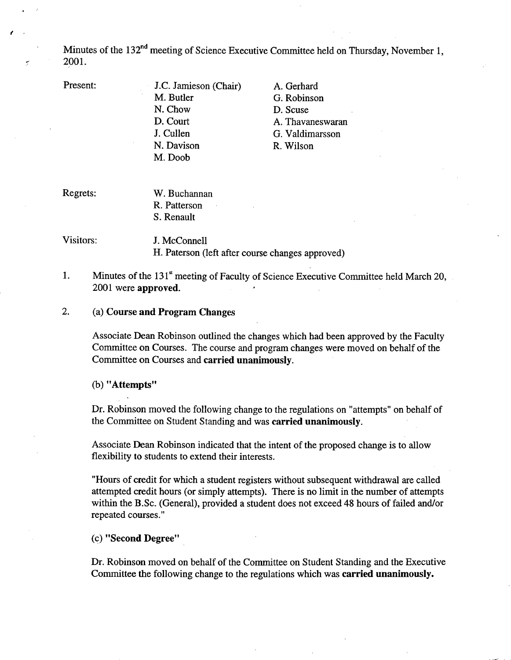Minutes of the 132<sup>nd</sup> meeting of Science Executive Committee held on Thursday, November 1, 2001.

I

- Present: J.C. Jamieson (Chair) M. Butler N. Chow D. Court J. Cullen N. Davison M. Doob
- A. Gerhard G. Robinson D. Scuse A. Thavaneswaran G. Valdimarsson R. Wilson

Regrets: W. Buchannan R. Patterson S. Renault

Visitors: J. McConnell

H. Paterson (left after course changes approved)

1. Minutes of the  $131<sup>s</sup>$  meeting of Faculty of Science Executive Committee held March 20, 2001 were **approved.** 

2. (a) **Course and Program Changes** 

> Associate Dean Robinson outlined the changes which had been approved by the Faculty Committee on Courses. The course and program changes were moved on behalf of the Committee on Courses and **carried unanimously.**

**"Attempts"** 

Dr. Robinson moved the following change to the regulations on "attempts" on behalf of the Committee on Student Standing and was **carried unanimously.** 

Associate Dean Robinson indicated that the intent of the proposed change is to allow flexibility to students to extend their interests.

"Hours of credit for which a student registers without subsequent withdrawal are called attempted credit hours (or simply attempts). There is no limit in the number of attempts within the B.Sc. (General), provided a student does not exceed 48 hours of failed and/or repeated courses."

**"Second Degree"** 

Dr. Robinson moved on behalf of the Committee on Student Standing and the Executive Committee the following change to the regulations which was **carried unanimously.**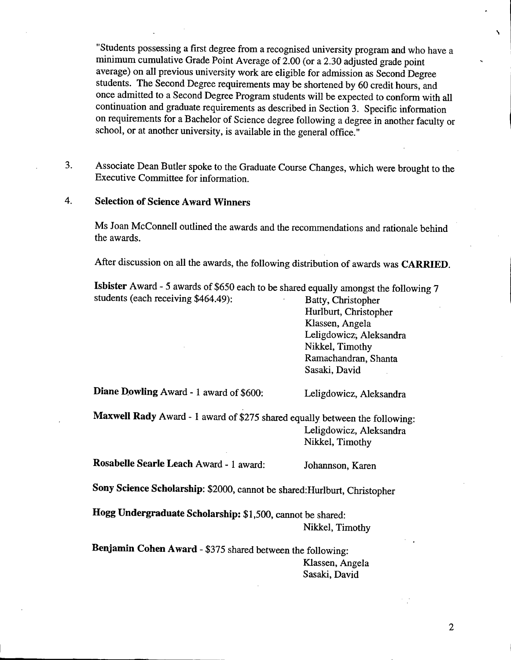"Students possessing a first degree from a recognised university program and who have a minimum cumulative Grade Point Average of 2.00 (or a 2.30 adjusted grade point average) on all previous university work are eligible for admission as Second Degree students. The Second Degree requirements may be shortened by 60 credit hours, and once admitted to a Second Degree Program students will be expected to conform with all continuation and graduate requirements as described in Section 3. Specific information on requirements for a Bachelor of Science degree following a degree in another faculty or school, or at another university, is available in the general office."

Associate Dean Butler spoke to the Graduate Course Changes, which were brought to the 3. Executive Committee for information.

#### 4. **Selection of Science Award Winners**

Ms Joan McConnell outlined the awards and the recommendations and rationale behind the awards.

After discussion on all the awards, the following distribution of awards was **CARRIED.** 

**Isbister** Award *-5* awards of \$650 each to be shared equally amongst the following 7 students (each receiving \$464.49): Batty, Christopher

Huriburt, Christopher Kiassen, Angela Leligdowicz; Aleksandra Nikkel, Timothy Ramachandran, Shanta Sasaki, David

**Diane Dowling Award - 1 award of \$600:** Leligdowicz, Aleksandra

**Maxwell Rady** Award - 1 award of *\$275* shared equally between the following: Leligdowicz, Aleksandra Nikkel, Timothy

**Rosabelle Searle Leach** Award - 1 award: Johannson, Karen

**Sony Science Scholarship:** \$2000, cannot be shared:Hurlburt, Christopher

**Hogg Undergraduate Scholarship:** *\$1,500,* cannot be shared: Nikkel, Timothy

**Benjamin Cohen Award** - *\$375* shared between the following: Kiassen, Angela Sasaki, David

2

N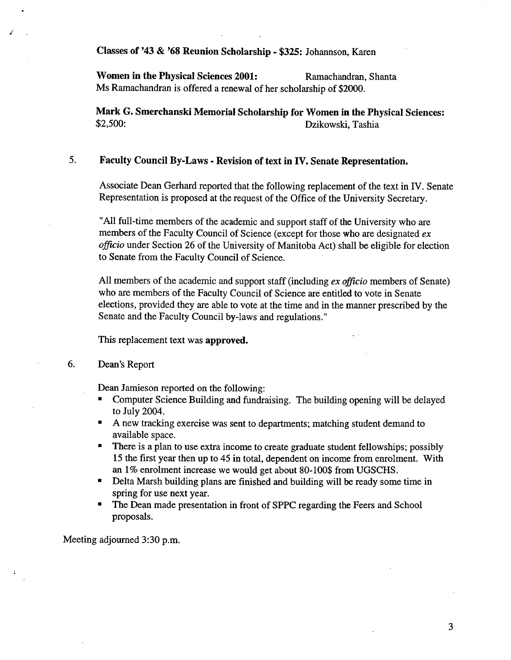**Classes of** '43 & **'68 Reunion Scholarship** - *\$325:* Johannson, Karen

Women in the Physical Sciences 2001: Ramachandran, Shanta Ms Ramachandran is offered a renewal of her scholarship of \$2000.

**Mark G. Smerchanski Memorial Scholarship for Women in the Physical Sciences:**  \$2,500: Dzikowski, Tashia

### 5. **Faculty Council By-Laws** - **Revision of text in IV. Senate Representation.**

Associate Dean Gerhard reported that the following replacement of the text in IV. Senate Representation is proposed at the request of the Office of the University Secretary.

"All full-time members of the academic and support staff of the University who are members of the Faculty Council of Science (except for those who are designated *ex*  officio under Section 26 of the University of Manitoba Act) shall be eligible for election to Senate from the Faculty Council of Science.

All members of the academic and support staff (including *ex officio* members of Senate) who are members of the Faculty Council of Science are entitled to vote in Senate elections, provided they are able to vote at the time and in the manner prescribed by the Senate and the Faculty Council by-laws and regulations."

This replacement text was **approved.** 

#### 6. Dean's Report

Dean Jamieson reported on the following:

- Computer Science Building and fundraising. The building opening will be delayed to July 2004.
- A new tracking exercise was sent to departments; matching student demand to available space.
- There is a plan to use extra income to create graduate student fellowships; possibly  $\blacksquare$ 15 the first year then up to *45* in total, dependent on income from enrolment. With an 1% enrolment increase we would get about 80-100\$ from UGSCHS.
- $\blacksquare$ Delta Marsh building plans are finished and building will be ready some time in spring for use next year.
- The Dean made presentation in front of SPPC regarding the Feers and School proposals.

Meeting adjourned 3:30 p.m.